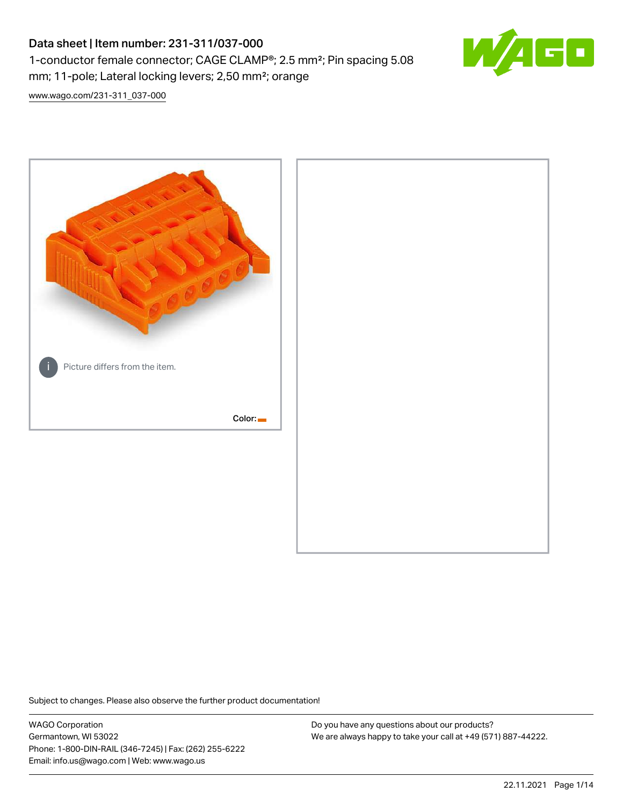# Data sheet | Item number: 231-311/037-000 1-conductor female connector; CAGE CLAMP®; 2.5 mm²; Pin spacing 5.08 mm; 11-pole; Lateral locking levers; 2,50 mm²; orange



[www.wago.com/231-311\\_037-000](http://www.wago.com/231-311_037-000)



Subject to changes. Please also observe the further product documentation!

WAGO Corporation Germantown, WI 53022 Phone: 1-800-DIN-RAIL (346-7245) | Fax: (262) 255-6222 Email: info.us@wago.com | Web: www.wago.us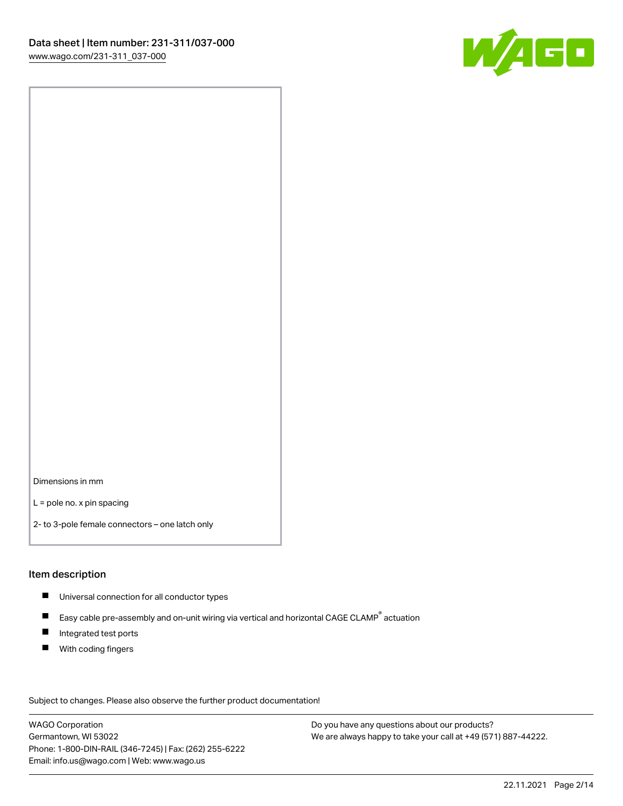

Dimensions in mm

L = pole no. x pin spacing

2- to 3-pole female connectors – one latch only

#### Item description

- **Universal connection for all conductor types**
- Easy cable pre-assembly and on-unit wiring via vertical and horizontal CAGE CLAMP<sup>®</sup> actuation  $\blacksquare$
- $\blacksquare$ Integrated test ports
- $\blacksquare$ With coding fingers

Subject to changes. Please also observe the further product documentation! Data

WAGO Corporation Germantown, WI 53022 Phone: 1-800-DIN-RAIL (346-7245) | Fax: (262) 255-6222 Email: info.us@wago.com | Web: www.wago.us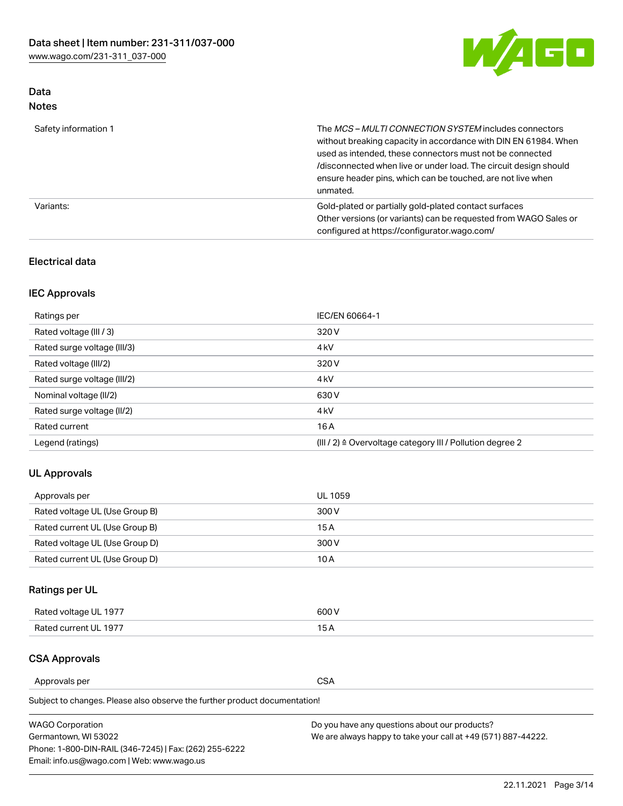

### Data Notes

| Safety information 1 | The <i>MCS – MULTI CONNECTION SYSTEM</i> includes connectors<br>without breaking capacity in accordance with DIN EN 61984. When<br>used as intended, these connectors must not be connected<br>/disconnected when live or under load. The circuit design should<br>ensure header pins, which can be touched, are not live when<br>unmated. |
|----------------------|--------------------------------------------------------------------------------------------------------------------------------------------------------------------------------------------------------------------------------------------------------------------------------------------------------------------------------------------|
| Variants:            | Gold-plated or partially gold-plated contact surfaces<br>Other versions (or variants) can be requested from WAGO Sales or<br>configured at https://configurator.wago.com/                                                                                                                                                                  |

### Electrical data

### IEC Approvals

| Ratings per                 | IEC/EN 60664-1                                                        |
|-----------------------------|-----------------------------------------------------------------------|
| Rated voltage (III / 3)     | 320 V                                                                 |
| Rated surge voltage (III/3) | 4 <sub>k</sub> V                                                      |
| Rated voltage (III/2)       | 320 V                                                                 |
| Rated surge voltage (III/2) | 4 <sub>k</sub> V                                                      |
| Nominal voltage (II/2)      | 630 V                                                                 |
| Rated surge voltage (II/2)  | 4 <sub>k</sub> V                                                      |
| Rated current               | 16A                                                                   |
| Legend (ratings)            | $(III / 2)$ $\triangle$ Overvoltage category III / Pollution degree 2 |

### UL Approvals

| Approvals per                  | UL 1059 |
|--------------------------------|---------|
| Rated voltage UL (Use Group B) | 300 V   |
| Rated current UL (Use Group B) | 15 A    |
| Rated voltage UL (Use Group D) | 300 V   |
| Rated current UL (Use Group D) | 10 A    |

# Ratings per UL

| Rated voltage UL 1977 | 300 V |
|-----------------------|-------|
| Rated current UL 1977 |       |

### CSA Approvals

Approvals per CSA

Subject to changes. Please also observe the further product documentation!

| <b>WAGO Corporation</b>                                | Do you have any questions about our products?                 |
|--------------------------------------------------------|---------------------------------------------------------------|
| Germantown, WI 53022                                   | We are always happy to take your call at +49 (571) 887-44222. |
| Phone: 1-800-DIN-RAIL (346-7245)   Fax: (262) 255-6222 |                                                               |
| Email: info.us@wago.com   Web: www.wago.us             |                                                               |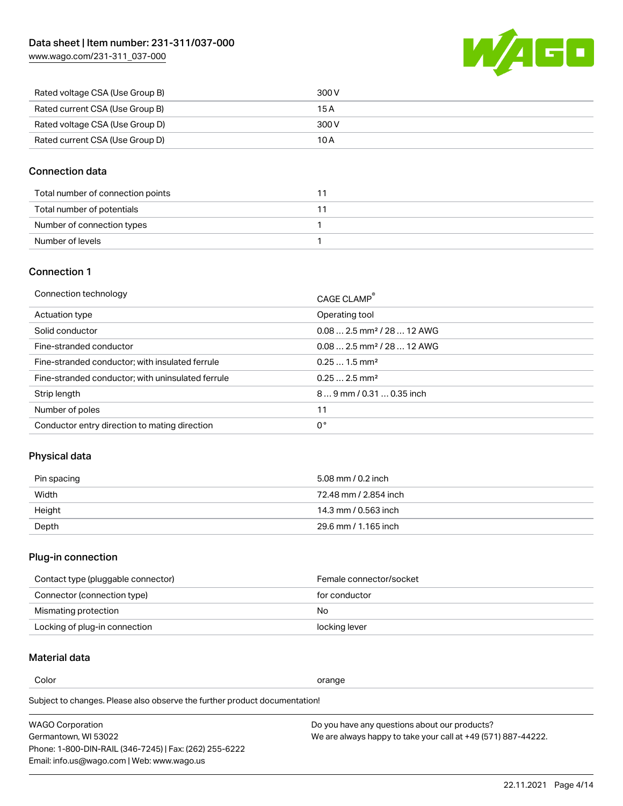[www.wago.com/231-311\\_037-000](http://www.wago.com/231-311_037-000)



| Rated voltage CSA (Use Group B) | 300 V |
|---------------------------------|-------|
| Rated current CSA (Use Group B) | 15 A  |
| Rated voltage CSA (Use Group D) | 300 V |
| Rated current CSA (Use Group D) | 10 A  |

### Connection data

| Total number of connection points |  |
|-----------------------------------|--|
| Total number of potentials        |  |
| Number of connection types        |  |
| Number of levels                  |  |

### Connection 1

| Connection technology                             | CAGE CLAMP <sup>®</sup>                |
|---------------------------------------------------|----------------------------------------|
| Actuation type                                    | Operating tool                         |
| Solid conductor                                   | $0.082.5$ mm <sup>2</sup> / 28  12 AWG |
| Fine-stranded conductor                           | $0.082.5$ mm <sup>2</sup> / 28  12 AWG |
| Fine-stranded conductor; with insulated ferrule   | $0.251.5$ mm <sup>2</sup>              |
| Fine-stranded conductor; with uninsulated ferrule | $0.252.5$ mm <sup>2</sup>              |
| Strip length                                      | 89 mm / 0.31  0.35 inch                |
| Number of poles                                   | 11                                     |
| Conductor entry direction to mating direction     | 0°                                     |
|                                                   |                                        |

# Physical data

| Pin spacing | 5.08 mm / 0.2 inch    |
|-------------|-----------------------|
| Width       | 72.48 mm / 2.854 inch |
| Height      | 14.3 mm / 0.563 inch  |
| Depth       | 29.6 mm / 1.165 inch  |

### Plug-in connection

| Contact type (pluggable connector) | Female connector/socket |
|------------------------------------|-------------------------|
| Connector (connection type)        | for conductor           |
| Mismating protection               | No.                     |
| Locking of plug-in connection      | locking lever           |

### Material data

Color contracts and contracts of the contracts of the contracts of the contracts of the contracts of the contracts of the contracts of the contracts of the contracts of the contracts of the contracts of the contracts of th

Subject to changes. Please also observe the further product documentation! Material group I

| <b>WAGO Corporation</b>                                | Do you have any questions about our products?                 |
|--------------------------------------------------------|---------------------------------------------------------------|
| Germantown, WI 53022                                   | We are always happy to take your call at +49 (571) 887-44222. |
| Phone: 1-800-DIN-RAIL (346-7245)   Fax: (262) 255-6222 |                                                               |
| Email: info.us@wago.com   Web: www.wago.us             |                                                               |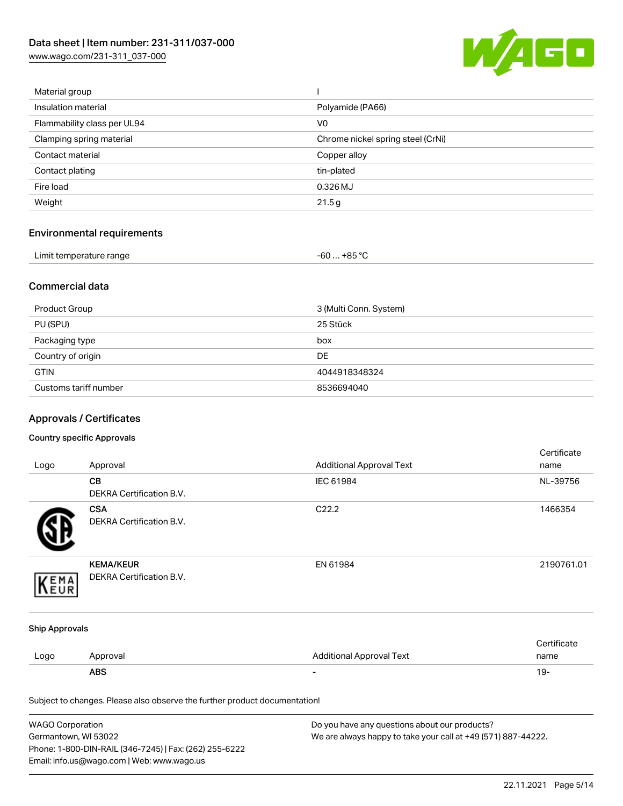[www.wago.com/231-311\\_037-000](http://www.wago.com/231-311_037-000)



| Material group              |                                   |
|-----------------------------|-----------------------------------|
| Insulation material         | Polyamide (PA66)                  |
| Flammability class per UL94 | V <sub>0</sub>                    |
| Clamping spring material    | Chrome nickel spring steel (CrNi) |
| Contact material            | Copper alloy                      |
| Contact plating             | tin-plated                        |
| Fire load                   | 0.326 MJ                          |
| Weight                      | 21.5g                             |
|                             |                                   |

# Environmental requirements

| Limit temperature range<br>the contract of the contract of the contract of the contract of the contract of<br>. | . +85 °C<br>-60 |  |
|-----------------------------------------------------------------------------------------------------------------|-----------------|--|
|-----------------------------------------------------------------------------------------------------------------|-----------------|--|

### Commercial data

| Product Group         | 3 (Multi Conn. System) |
|-----------------------|------------------------|
| PU (SPU)              | 25 Stück               |
| Packaging type        | box                    |
| Country of origin     | <b>DE</b>              |
| <b>GTIN</b>           | 4044918348324          |
| Customs tariff number | 8536694040             |

# Approvals / Certificates

#### Country specific Approvals

| Logo                                                                       | Approval                                      | <b>Additional Approval Text</b> | Certificate<br>name |
|----------------------------------------------------------------------------|-----------------------------------------------|---------------------------------|---------------------|
|                                                                            | CВ<br>DEKRA Certification B.V.                | IEC 61984                       | NL-39756            |
|                                                                            | <b>CSA</b><br><b>DEKRA Certification B.V.</b> | C22.2                           | 1466354             |
| EMA                                                                        | <b>KEMA/KEUR</b><br>DEKRA Certification B.V.  | EN 61984                        | 2190761.01          |
| <b>Ship Approvals</b>                                                      |                                               |                                 |                     |
| Logo                                                                       | Approval                                      | <b>Additional Approval Text</b> | Certificate<br>name |
|                                                                            | <b>ABS</b>                                    |                                 | $19 -$              |
| Subject to changes. Please also observe the further product documentation! |                                               |                                 |                     |

| WAGO Corporation                                       | Do you have any questions about our products?                 |
|--------------------------------------------------------|---------------------------------------------------------------|
| Germantown, WI 53022                                   | We are always happy to take your call at +49 (571) 887-44222. |
| Phone: 1-800-DIN-RAIL (346-7245)   Fax: (262) 255-6222 |                                                               |
| Email: info.us@wago.com   Web: www.wago.us             |                                                               |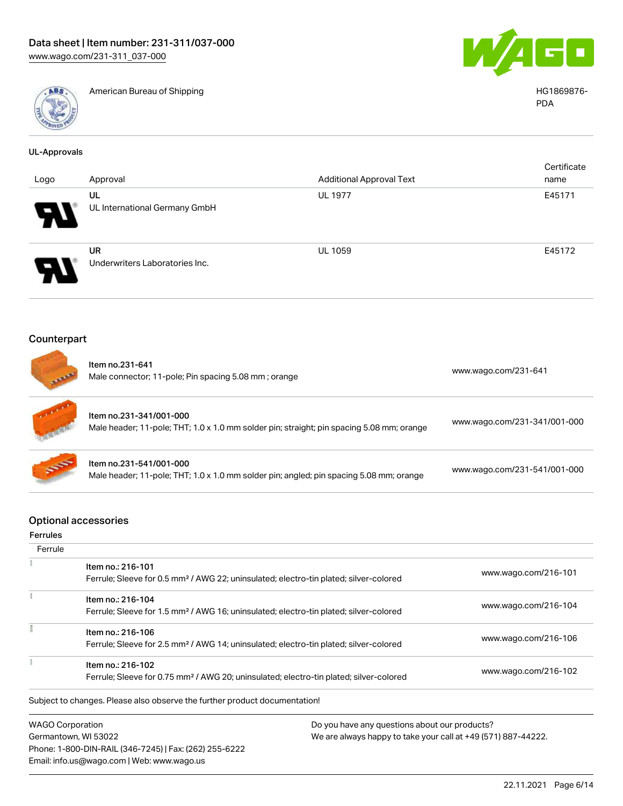

American Bureau of Shipping HG1869876-



PDA

| <b>UL-Approvals</b>                            |                                                                                                                      |                                                   |                              |
|------------------------------------------------|----------------------------------------------------------------------------------------------------------------------|---------------------------------------------------|------------------------------|
|                                                |                                                                                                                      |                                                   | Certificate                  |
| Logo                                           | Approval<br><b>UL</b>                                                                                                | <b>Additional Approval Text</b><br><b>UL 1977</b> | name                         |
|                                                | UL International Germany GmbH                                                                                        |                                                   | E45171                       |
|                                                | <b>UR</b>                                                                                                            | <b>UL 1059</b>                                    | E45172                       |
|                                                | Underwriters Laboratories Inc.                                                                                       |                                                   |                              |
| Counterpart                                    |                                                                                                                      |                                                   |                              |
|                                                |                                                                                                                      |                                                   |                              |
|                                                | Item no.231-641<br>Male connector; 11-pole; Pin spacing 5.08 mm; orange                                              |                                                   | www.wago.com/231-641         |
|                                                | Item no.231-341/001-000<br>Male header; 11-pole; THT; 1.0 x 1.0 mm solder pin; straight; pin spacing 5.08 mm; orange |                                                   | www.wago.com/231-341/001-000 |
|                                                | Item no.231-541/001-000<br>Male header; 11-pole; THT; 1.0 x 1.0 mm solder pin; angled; pin spacing 5.08 mm; orange   |                                                   | www.wago.com/231-541/001-000 |
| <b>Optional accessories</b><br><b>Ferrules</b> |                                                                                                                      |                                                   |                              |
| Ferrule                                        |                                                                                                                      |                                                   |                              |
|                                                | Item no.: 216-101                                                                                                    |                                                   |                              |
|                                                | Ferrule; Sleeve for 0.5 mm <sup>2</sup> / AWG 22; uninsulated; electro-tin plated; silver-colored                    |                                                   | www.wago.com/216-101         |
|                                                | Item no.: 216-104                                                                                                    |                                                   |                              |
|                                                | Ferrule; Sleeve for 1.5 mm <sup>2</sup> / AWG 16; uninsulated; electro-tin plated; silver-colored                    |                                                   | www.wago.com/216-104         |
|                                                | Item no.: 216-106                                                                                                    |                                                   |                              |
|                                                | Ferrule; Sleeve for 2.5 mm <sup>2</sup> / AWG 14; uninsulated; electro-tin plated; silver-colored                    |                                                   | www.wago.com/216-106         |
| 1                                              | Item no.: 216-102                                                                                                    |                                                   |                              |
|                                                | Ferrule; Sleeve for 0.75 mm <sup>2</sup> / AWG 20; uninsulated; electro-tin plated; silver-colored                   |                                                   | www.wago.com/216-102         |

Subject to changes. Please also observe the further product documentation!

WAGO Corporation Germantown, WI 53022 Phone: 1-800-DIN-RAIL (346-7245) | Fax: (262) 255-6222 Email: info.us@wago.com | Web: www.wago.us

Do you have any questions about our products? We are always happy to take your call at +49 (571) 887-44222.

22.11.2021 Page 6/14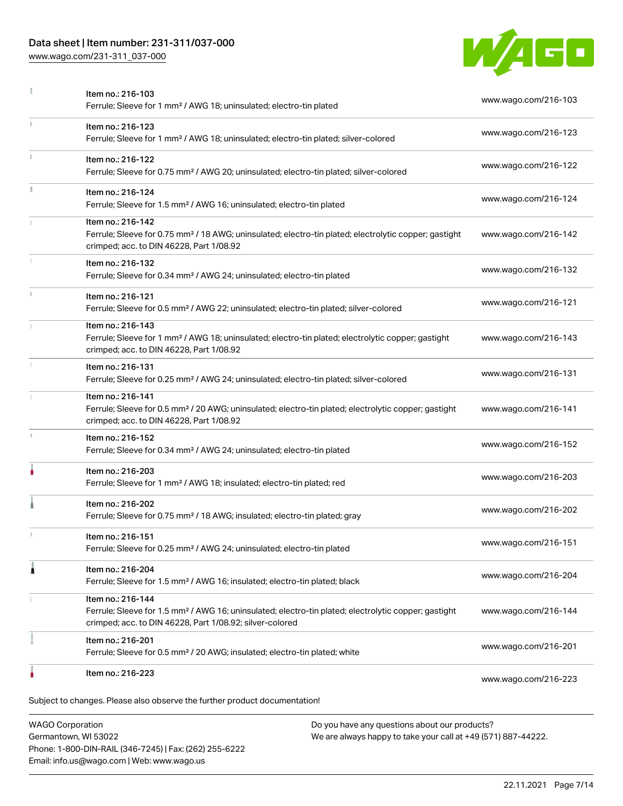### Data sheet | Item number: 231-311/037-000

Phone: 1-800-DIN-RAIL (346-7245) | Fax: (262) 255-6222

Email: info.us@wago.com | Web: www.wago.us

[www.wago.com/231-311\\_037-000](http://www.wago.com/231-311_037-000)



|    | Item no.: 216-103<br>Ferrule; Sleeve for 1 mm <sup>2</sup> / AWG 18; uninsulated; electro-tin plated                                                                                              | www.wago.com/216-103                                          |
|----|---------------------------------------------------------------------------------------------------------------------------------------------------------------------------------------------------|---------------------------------------------------------------|
| ī. | Item no.: 216-123<br>Ferrule; Sleeve for 1 mm <sup>2</sup> / AWG 18; uninsulated; electro-tin plated; silver-colored                                                                              | www.wago.com/216-123                                          |
|    | Item no.: 216-122<br>Ferrule; Sleeve for 0.75 mm <sup>2</sup> / AWG 20; uninsulated; electro-tin plated; silver-colored                                                                           | www.wago.com/216-122                                          |
|    | Item no.: 216-124<br>Ferrule; Sleeve for 1.5 mm <sup>2</sup> / AWG 16; uninsulated; electro-tin plated                                                                                            | www.wago.com/216-124                                          |
|    | Item no.: 216-142<br>Ferrule; Sleeve for 0.75 mm <sup>2</sup> / 18 AWG; uninsulated; electro-tin plated; electrolytic copper; gastight<br>crimped; acc. to DIN 46228, Part 1/08.92                | www.wago.com/216-142                                          |
|    | Item no.: 216-132<br>Ferrule; Sleeve for 0.34 mm <sup>2</sup> / AWG 24; uninsulated; electro-tin plated                                                                                           | www.wago.com/216-132                                          |
|    | Item no.: 216-121<br>Ferrule; Sleeve for 0.5 mm <sup>2</sup> / AWG 22; uninsulated; electro-tin plated; silver-colored                                                                            | www.wago.com/216-121                                          |
|    | Item no.: 216-143<br>Ferrule; Sleeve for 1 mm <sup>2</sup> / AWG 18; uninsulated; electro-tin plated; electrolytic copper; gastight<br>crimped; acc. to DIN 46228, Part 1/08.92                   | www.wago.com/216-143                                          |
|    | Item no.: 216-131<br>Ferrule; Sleeve for 0.25 mm <sup>2</sup> / AWG 24; uninsulated; electro-tin plated; silver-colored                                                                           | www.wago.com/216-131                                          |
|    | Item no.: 216-141<br>Ferrule; Sleeve for 0.5 mm <sup>2</sup> / 20 AWG; uninsulated; electro-tin plated; electrolytic copper; gastight<br>crimped; acc. to DIN 46228, Part 1/08.92                 | www.wago.com/216-141                                          |
| s. | Item no.: 216-152<br>Ferrule; Sleeve for 0.34 mm <sup>2</sup> / AWG 24; uninsulated; electro-tin plated                                                                                           | www.wago.com/216-152                                          |
|    | Item no.: 216-203<br>Ferrule; Sleeve for 1 mm <sup>2</sup> / AWG 18; insulated; electro-tin plated; red                                                                                           | www.wago.com/216-203                                          |
|    | Item no.: 216-202<br>Ferrule; Sleeve for 0.75 mm <sup>2</sup> / 18 AWG; insulated; electro-tin plated; gray                                                                                       | www.wago.com/216-202                                          |
|    | Item no.: 216-151<br>Ferrule; Sleeve for 0.25 mm <sup>2</sup> / AWG 24; uninsulated; electro-tin plated                                                                                           | www.wago.com/216-151                                          |
| 1  | Item no.: 216-204<br>Ferrule; Sleeve for 1.5 mm <sup>2</sup> / AWG 16; insulated; electro-tin plated; black                                                                                       | www.wago.com/216-204                                          |
|    | Item no.: 216-144<br>Ferrule; Sleeve for 1.5 mm <sup>2</sup> / AWG 16; uninsulated; electro-tin plated; electrolytic copper; gastight<br>crimped; acc. to DIN 46228, Part 1/08.92; silver-colored | www.wago.com/216-144                                          |
|    | Item no.: 216-201<br>Ferrule; Sleeve for 0.5 mm <sup>2</sup> / 20 AWG; insulated; electro-tin plated; white                                                                                       | www.wago.com/216-201                                          |
|    | Item no.: 216-223                                                                                                                                                                                 | www.wago.com/216-223                                          |
|    | Subject to changes. Please also observe the further product documentation!                                                                                                                        |                                                               |
|    | <b>WAGO Corporation</b><br>Do you have any questions about our products?<br>Germantown, WI 53022                                                                                                  | We are always happy to take your call at +49 (571) 887-44222. |

22.11.2021 Page 7/14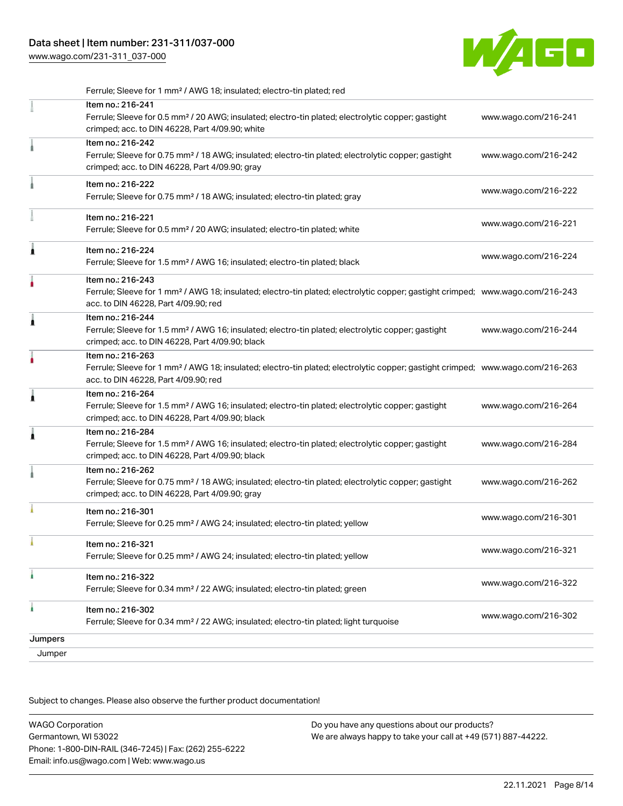[www.wago.com/231-311\\_037-000](http://www.wago.com/231-311_037-000)



|         | Ferrule; Sleeve for 1 mm <sup>2</sup> / AWG 18; insulated; electro-tin plated; red                                                                                                                      |                      |
|---------|---------------------------------------------------------------------------------------------------------------------------------------------------------------------------------------------------------|----------------------|
|         | Item no.: 216-241<br>Ferrule; Sleeve for 0.5 mm <sup>2</sup> / 20 AWG; insulated; electro-tin plated; electrolytic copper; gastight<br>crimped; acc. to DIN 46228, Part 4/09.90; white                  | www.wago.com/216-241 |
|         | Item no.: 216-242<br>Ferrule; Sleeve for 0.75 mm <sup>2</sup> / 18 AWG; insulated; electro-tin plated; electrolytic copper; gastight<br>crimped; acc. to DIN 46228, Part 4/09.90; gray                  | www.wago.com/216-242 |
|         | Item no.: 216-222<br>Ferrule; Sleeve for 0.75 mm <sup>2</sup> / 18 AWG; insulated; electro-tin plated; gray                                                                                             | www.wago.com/216-222 |
|         | Item no.: 216-221<br>Ferrule; Sleeve for 0.5 mm <sup>2</sup> / 20 AWG; insulated; electro-tin plated; white                                                                                             | www.wago.com/216-221 |
| Â       | Item no.: 216-224<br>Ferrule; Sleeve for 1.5 mm <sup>2</sup> / AWG 16; insulated; electro-tin plated; black                                                                                             | www.wago.com/216-224 |
|         | Item no.: 216-243<br>Ferrule; Sleeve for 1 mm <sup>2</sup> / AWG 18; insulated; electro-tin plated; electrolytic copper; gastight crimped; www.wago.com/216-243<br>acc. to DIN 46228, Part 4/09.90; red |                      |
| 1       | Item no.: 216-244<br>Ferrule; Sleeve for 1.5 mm <sup>2</sup> / AWG 16; insulated; electro-tin plated; electrolytic copper; gastight<br>crimped; acc. to DIN 46228, Part 4/09.90; black                  | www.wago.com/216-244 |
|         | Item no.: 216-263<br>Ferrule; Sleeve for 1 mm <sup>2</sup> / AWG 18; insulated; electro-tin plated; electrolytic copper; gastight crimped; www.wago.com/216-263<br>acc. to DIN 46228, Part 4/09.90; red |                      |
| 1       | Item no.: 216-264<br>Ferrule; Sleeve for 1.5 mm <sup>2</sup> / AWG 16; insulated; electro-tin plated; electrolytic copper; gastight<br>crimped; acc. to DIN 46228, Part 4/09.90; black                  | www.wago.com/216-264 |
| 1       | Item no.: 216-284<br>Ferrule; Sleeve for 1.5 mm <sup>2</sup> / AWG 16; insulated; electro-tin plated; electrolytic copper; gastight<br>crimped; acc. to DIN 46228, Part 4/09.90; black                  | www.wago.com/216-284 |
|         | Item no.: 216-262<br>Ferrule; Sleeve for 0.75 mm <sup>2</sup> / 18 AWG; insulated; electro-tin plated; electrolytic copper; gastight<br>crimped; acc. to DIN 46228, Part 4/09.90; gray                  | www.wago.com/216-262 |
|         | Item no.: 216-301<br>Ferrule; Sleeve for 0.25 mm <sup>2</sup> / AWG 24; insulated; electro-tin plated; yellow                                                                                           | www.wago.com/216-301 |
|         | Item no.: 216-321<br>Ferrule; Sleeve for 0.25 mm <sup>2</sup> / AWG 24; insulated; electro-tin plated; yellow                                                                                           | www.wago.com/216-321 |
| ł       | Item no.: 216-322<br>Ferrule; Sleeve for 0.34 mm <sup>2</sup> / 22 AWG; insulated; electro-tin plated; green                                                                                            | www.wago.com/216-322 |
| à       | Item no.: 216-302<br>Ferrule; Sleeve for 0.34 mm <sup>2</sup> / 22 AWG; insulated; electro-tin plated; light turquoise                                                                                  | www.wago.com/216-302 |
| Jumpers |                                                                                                                                                                                                         |                      |
| Jumper  |                                                                                                                                                                                                         |                      |

Subject to changes. Please also observe the further product documentation!

| <b>WAGO Corporation</b>                                | Do you have any questions about our products?                 |
|--------------------------------------------------------|---------------------------------------------------------------|
| Germantown, WI 53022                                   | We are always happy to take your call at +49 (571) 887-44222. |
| Phone: 1-800-DIN-RAIL (346-7245)   Fax: (262) 255-6222 |                                                               |
| Email: info.us@wago.com   Web: www.wago.us             |                                                               |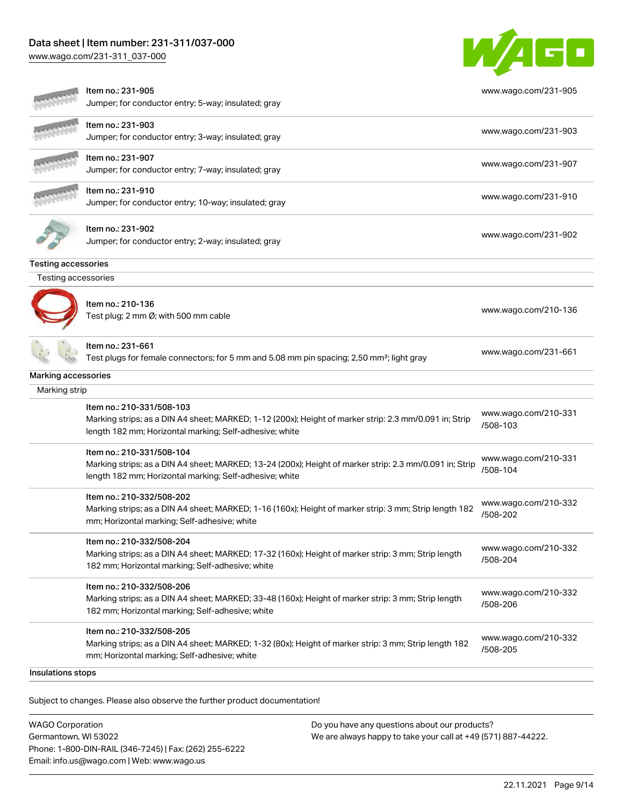### Data sheet | Item number: 231-311/037-000

[www.wago.com/231-311\\_037-000](http://www.wago.com/231-311_037-000)



| Jumper; for conductor entry; 5-way; insulated; gray<br>Item no.: 231-903<br>www.wago.com/231-903<br>Jumper; for conductor entry; 3-way; insulated; gray<br>ltem no.: 231-907<br>www.wago.com/231-907<br>Jumper; for conductor entry; 7-way; insulated; gray<br>Item no.: 231-910<br>www.wago.com/231-910<br>Jumper; for conductor entry; 10-way; insulated; gray<br>Item no.: 231-902<br>www.wago.com/231-902<br>Jumper; for conductor entry; 2-way; insulated; gray |  |
|----------------------------------------------------------------------------------------------------------------------------------------------------------------------------------------------------------------------------------------------------------------------------------------------------------------------------------------------------------------------------------------------------------------------------------------------------------------------|--|
|                                                                                                                                                                                                                                                                                                                                                                                                                                                                      |  |
|                                                                                                                                                                                                                                                                                                                                                                                                                                                                      |  |
|                                                                                                                                                                                                                                                                                                                                                                                                                                                                      |  |
|                                                                                                                                                                                                                                                                                                                                                                                                                                                                      |  |
| <b>Testing accessories</b>                                                                                                                                                                                                                                                                                                                                                                                                                                           |  |
| Testing accessories                                                                                                                                                                                                                                                                                                                                                                                                                                                  |  |
| Item no.: 210-136<br>www.wago.com/210-136<br>Test plug; 2 mm Ø; with 500 mm cable                                                                                                                                                                                                                                                                                                                                                                                    |  |
| Item no.: 231-661<br>www.wago.com/231-661<br>Test plugs for female connectors; for 5 mm and 5.08 mm pin spacing; 2,50 mm <sup>2</sup> ; light gray                                                                                                                                                                                                                                                                                                                   |  |
| Marking accessories                                                                                                                                                                                                                                                                                                                                                                                                                                                  |  |
| Marking strip                                                                                                                                                                                                                                                                                                                                                                                                                                                        |  |
| Item no.: 210-331/508-103<br>www.wago.com/210-331<br>Marking strips; as a DIN A4 sheet; MARKED; 1-12 (200x); Height of marker strip: 2.3 mm/0.091 in; Strip<br>/508-103<br>length 182 mm; Horizontal marking; Self-adhesive; white                                                                                                                                                                                                                                   |  |
| Item no.: 210-331/508-104<br>www.wago.com/210-331<br>Marking strips; as a DIN A4 sheet; MARKED; 13-24 (200x); Height of marker strip: 2.3 mm/0.091 in; Strip<br>/508-104<br>length 182 mm; Horizontal marking; Self-adhesive; white                                                                                                                                                                                                                                  |  |
| Item no.: 210-332/508-202<br>www.wago.com/210-332<br>Marking strips; as a DIN A4 sheet; MARKED; 1-16 (160x); Height of marker strip: 3 mm; Strip length 182<br>/508-202<br>mm; Horizontal marking; Self-adhesive; white                                                                                                                                                                                                                                              |  |
| ltem no.: 210-332/508-204<br>www.wago.com/210-332<br>Marking strips; as a DIN A4 sheet; MARKED; 17-32 (160x); Height of marker strip: 3 mm; Strip length<br>/508-204<br>182 mm; Horizontal marking; Self-adhesive; white                                                                                                                                                                                                                                             |  |
| Item no.: 210-332/508-206<br>www.wago.com/210-332<br>Marking strips; as a DIN A4 sheet; MARKED; 33-48 (160x); Height of marker strip: 3 mm; Strip length<br>/508-206<br>182 mm; Horizontal marking; Self-adhesive; white                                                                                                                                                                                                                                             |  |
| Item no.: 210-332/508-205<br>www.wago.com/210-332<br>Marking strips; as a DIN A4 sheet; MARKED; 1-32 (80x); Height of marker strip: 3 mm; Strip length 182<br>/508-205<br>mm; Horizontal marking; Self-adhesive; white                                                                                                                                                                                                                                               |  |
| Insulations stops                                                                                                                                                                                                                                                                                                                                                                                                                                                    |  |

.<br>Subject to changes. Please also observe the further product documentation!

WAGO Corporation Germantown, WI 53022 Phone: 1-800-DIN-RAIL (346-7245) | Fax: (262) 255-6222 Email: info.us@wago.com | Web: www.wago.us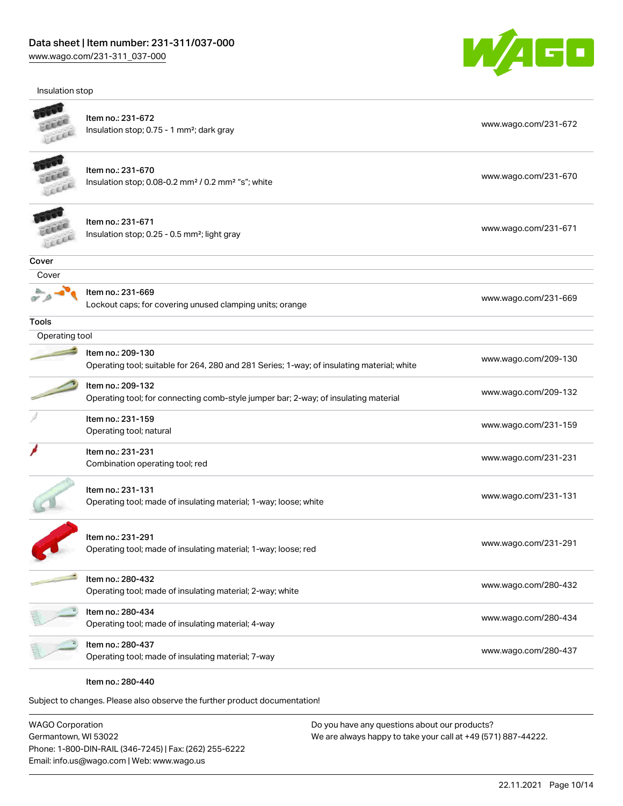Insulation stop



|                | Item no.: 231-672<br>Insulation stop; 0.75 - 1 mm <sup>2</sup> ; dark gray                                                    | www.wago.com/231-672 |
|----------------|-------------------------------------------------------------------------------------------------------------------------------|----------------------|
|                | Item no.: 231-670<br>Insulation stop; 0.08-0.2 mm <sup>2</sup> / 0.2 mm <sup>2</sup> "s"; white                               | www.wago.com/231-670 |
|                | Item no.: 231-671<br>Insulation stop; 0.25 - 0.5 mm <sup>2</sup> ; light gray                                                 | www.wago.com/231-671 |
| Cover          |                                                                                                                               |                      |
| Cover          |                                                                                                                               |                      |
|                | Item no.: 231-669<br>Lockout caps; for covering unused clamping units; orange                                                 | www.wago.com/231-669 |
| <b>Tools</b>   |                                                                                                                               |                      |
| Operating tool |                                                                                                                               |                      |
|                | Item no.: 209-130<br>Operating tool; suitable for 264, 280 and 281 Series; 1-way; of insulating material; white               | www.wago.com/209-130 |
|                | Item no.: 209-132<br>Operating tool; for connecting comb-style jumper bar; 2-way; of insulating material                      | www.wago.com/209-132 |
|                | Item no.: 231-159<br>Operating tool; natural                                                                                  | www.wago.com/231-159 |
|                | Item no.: 231-231<br>Combination operating tool; red                                                                          | www.wago.com/231-231 |
|                | Item no.: 231-131<br>Operating tool; made of insulating material; 1-way; loose; white                                         | www.wago.com/231-131 |
|                | Item no.: 231-291<br>Operating tool; made of insulating material; 1-way; loose; red                                           | www.wago.com/231-291 |
|                | Item no.: 280-432<br>Operating tool; made of insulating material; 2-way; white                                                | www.wago.com/280-432 |
|                | Item no.: 280-434                                                                                                             | www.wago.com/280-434 |
|                | Operating tool; made of insulating material; 4-way<br>Item no.: 280-437<br>Operating tool; made of insulating material; 7-way | www.wago.com/280-437 |

WAGO Corporation Germantown, WI 53022 Phone: 1-800-DIN-RAIL (346-7245) | Fax: (262) 255-6222 Email: info.us@wago.com | Web: www.wago.us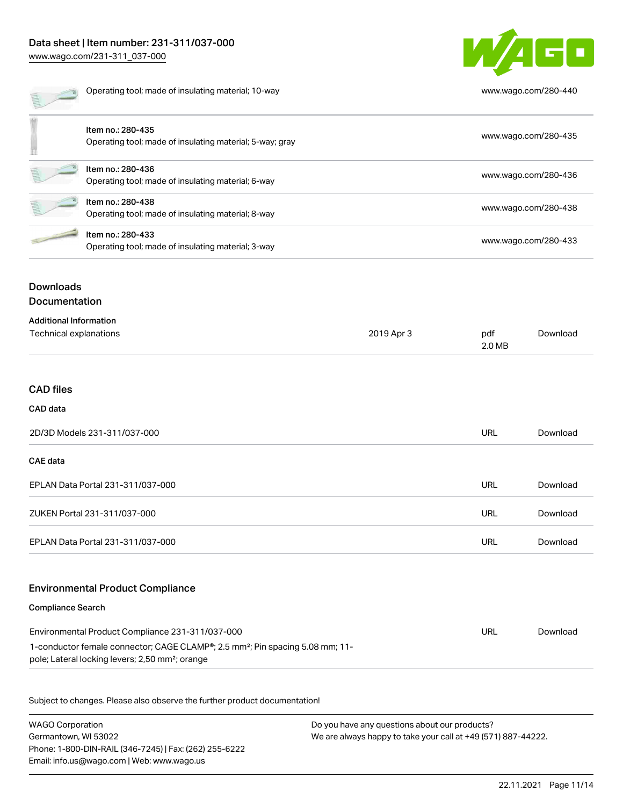### Data sheet | Item number: 231-311/037-000 [www.wago.com/231-311\\_037-000](http://www.wago.com/231-311_037-000)



|                                          | Operating tool; made of insulating material; 10-way                           |            | www.wago.com/280-440 |          |
|------------------------------------------|-------------------------------------------------------------------------------|------------|----------------------|----------|
|                                          | Item no.: 280-435<br>Operating tool; made of insulating material; 5-way; gray |            | www.wago.com/280-435 |          |
|                                          | Item no.: 280-436<br>Operating tool; made of insulating material; 6-way       |            | www.wago.com/280-436 |          |
|                                          | Item no.: 280-438<br>Operating tool; made of insulating material; 8-way       |            | www.wago.com/280-438 |          |
|                                          | Item no.: 280-433<br>Operating tool; made of insulating material; 3-way       |            | www.wago.com/280-433 |          |
| <b>Downloads</b><br><b>Documentation</b> |                                                                               |            |                      |          |
| <b>Additional Information</b>            |                                                                               |            |                      |          |
| Technical explanations                   |                                                                               | 2019 Apr 3 | pdf<br>2.0 MB        | Download |

#### CAD files

### CAD data

| 2D/3D Models 231-311/037-000      | URL | Download |
|-----------------------------------|-----|----------|
| <b>CAE data</b>                   |     |          |
| EPLAN Data Portal 231-311/037-000 | URL | Download |
| ZUKEN Portal 231-311/037-000      | URL | Download |
| EPLAN Data Portal 231-311/037-000 | URL | Download |

### Environmental Product Compliance

#### Compliance Search

| Environmental Product Compliance 231-311/037-000                                                                                                                      | URL | Download |
|-----------------------------------------------------------------------------------------------------------------------------------------------------------------------|-----|----------|
| 1-conductor female connector; CAGE CLAMP <sup>®</sup> ; 2.5 mm <sup>2</sup> ; Pin spacing 5.08 mm; 11-<br>pole; Lateral locking levers; 2,50 mm <sup>2</sup> ; orange |     |          |

Subject to changes. Please also observe the further product documentation!

WAGO Corporation Germantown, WI 53022 Phone: 1-800-DIN-RAIL (346-7245) | Fax: (262) 255-6222 Email: info.us@wago.com | Web: www.wago.us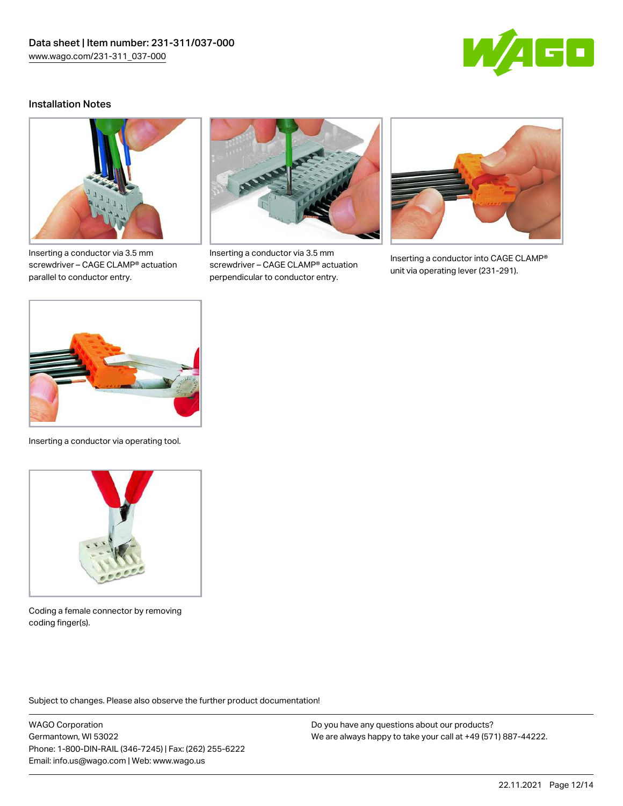

### Installation Notes



Inserting a conductor via 3.5 mm screwdriver – CAGE CLAMP® actuation parallel to conductor entry.



Inserting a conductor via 3.5 mm screwdriver – CAGE CLAMP® actuation perpendicular to conductor entry.



Inserting a conductor into CAGE CLAMP® unit via operating lever (231-291).



Inserting a conductor via operating tool.



Coding a female connector by removing coding finger(s).

Subject to changes. Please also observe the further product documentation!

WAGO Corporation Germantown, WI 53022 Phone: 1-800-DIN-RAIL (346-7245) | Fax: (262) 255-6222 Email: info.us@wago.com | Web: www.wago.us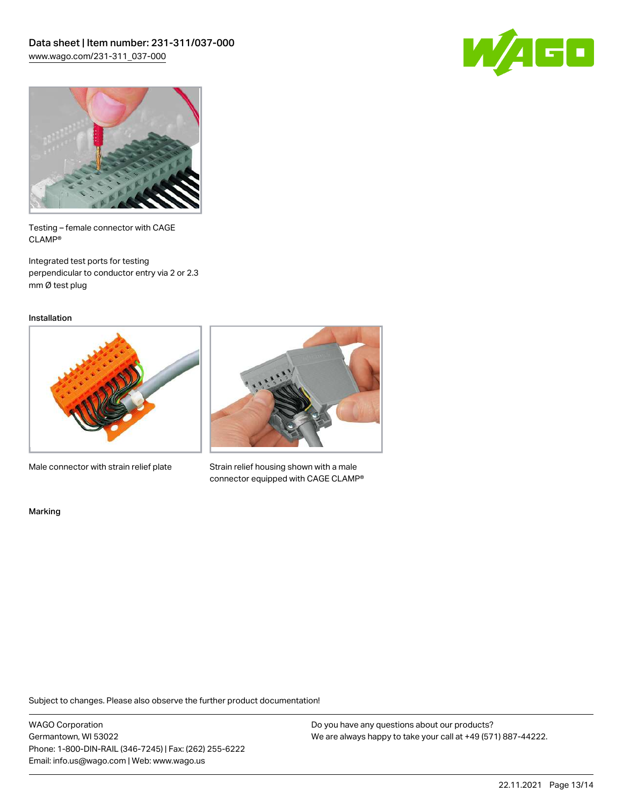



Testing – female connector with CAGE CLAMP®

Integrated test ports for testing perpendicular to conductor entry via 2 or 2.3 mm Ø test plug

Installation



Male connector with strain relief plate



Strain relief housing shown with a male connector equipped with CAGE CLAMP®

Marking

Subject to changes. Please also observe the further product documentation!

WAGO Corporation Germantown, WI 53022 Phone: 1-800-DIN-RAIL (346-7245) | Fax: (262) 255-6222 Email: info.us@wago.com | Web: www.wago.us